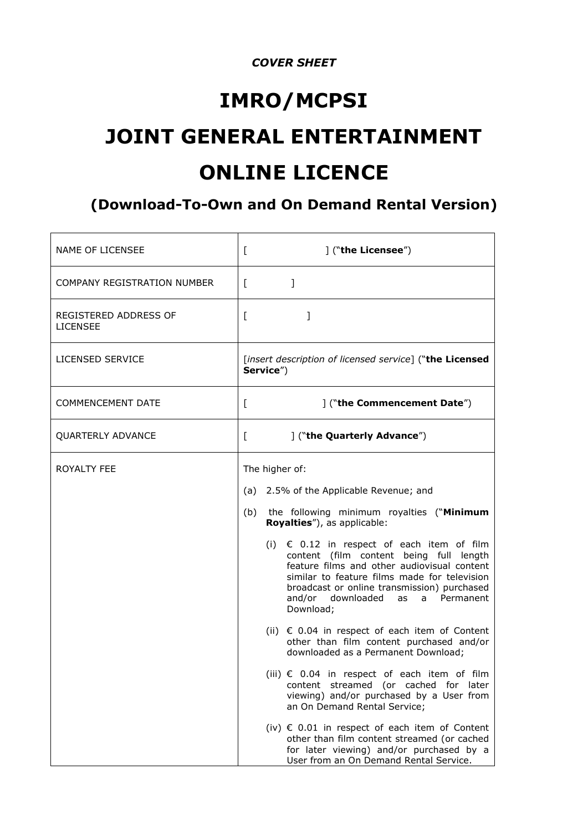## *COVER SHEET*

# **IMRO/MCPSI JOINT GENERAL ENTERTAINMENT ONLINE LICENCE**

# **(Download-To-Own and On Demand Rental Version)**

| <b>NAME OF LICENSEE</b>                  | ] ("the Licensee")<br>L                                                                                                                                                                                                                                                                                                                                                                                                                                                                                                                                                                     |
|------------------------------------------|---------------------------------------------------------------------------------------------------------------------------------------------------------------------------------------------------------------------------------------------------------------------------------------------------------------------------------------------------------------------------------------------------------------------------------------------------------------------------------------------------------------------------------------------------------------------------------------------|
| COMPANY REGISTRATION NUMBER              | $\mathbf{1}$<br>$\Gamma$                                                                                                                                                                                                                                                                                                                                                                                                                                                                                                                                                                    |
| REGISTERED ADDRESS OF<br><b>LICENSEE</b> | ]<br>L                                                                                                                                                                                                                                                                                                                                                                                                                                                                                                                                                                                      |
| <b>LICENSED SERVICE</b>                  | [insert description of licensed service] ("the Licensed<br>Service")                                                                                                                                                                                                                                                                                                                                                                                                                                                                                                                        |
| <b>COMMENCEMENT DATE</b>                 | ("the Commencement Date")<br>L                                                                                                                                                                                                                                                                                                                                                                                                                                                                                                                                                              |
| <b>QUARTERLY ADVANCE</b>                 | ] ("the Quarterly Advance")<br>L                                                                                                                                                                                                                                                                                                                                                                                                                                                                                                                                                            |
| ROYALTY FEE                              | The higher of:<br>(a) 2.5% of the Applicable Revenue; and<br>the following minimum royalties ("Minimum<br>(b)<br>Royalties"), as applicable:<br>(i) $\epsilon$ 0.12 in respect of each item of film<br>content (film content being full length<br>feature films and other audiovisual content<br>similar to feature films made for television<br>broadcast or online transmission) purchased<br>and/or downloaded as a Permanent<br>Download;<br>(ii) $\epsilon$ 0.04 in respect of each item of Content<br>other than film content purchased and/or<br>downloaded as a Permanent Download; |
|                                          | (iii) $€$ 0.04 in respect of each item of film<br>content streamed (or cached for later<br>viewing) and/or purchased by a User from<br>an On Demand Rental Service;<br>(iv) $∈$ 0.01 in respect of each item of Content<br>other than film content streamed (or cached<br>for later viewing) and/or purchased by a<br>User from an On Demand Rental Service.                                                                                                                                                                                                                                |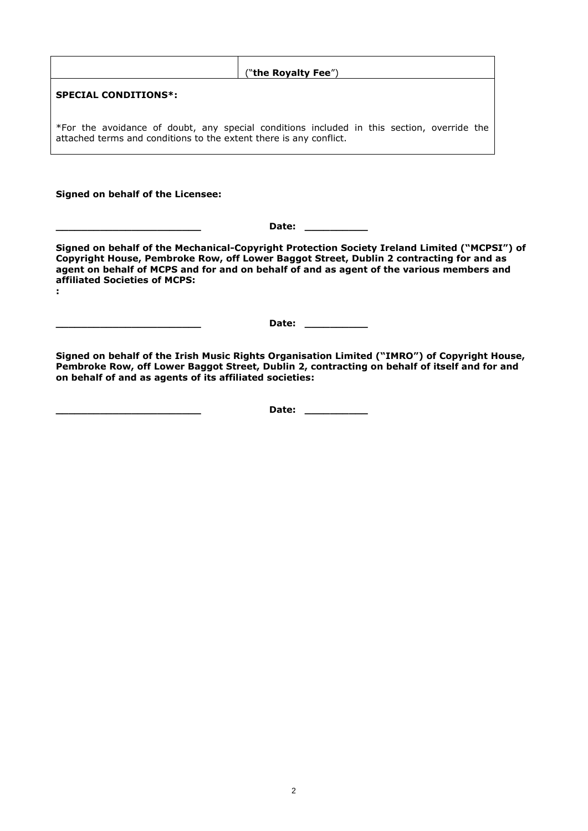| ("the Royalty Fee")                                                                                                                                              |  |
|------------------------------------------------------------------------------------------------------------------------------------------------------------------|--|
| <b>SPECIAL CONDITIONS*:</b>                                                                                                                                      |  |
| *For the avoidance of doubt, any special conditions included in this section, override the<br>attached terms and conditions to the extent there is any conflict. |  |
|                                                                                                                                                                  |  |

#### **Signed on behalf of the Licensee:**

**\_\_\_\_\_\_\_\_\_\_\_\_\_\_\_\_\_\_\_\_\_\_\_ Date: \_\_\_\_\_\_\_\_\_\_**

**Signed on behalf of the Mechanical-Copyright Protection Society Ireland Limited ("MCPSI") of Copyright House, Pembroke Row, off Lower Baggot Street, Dublin 2 contracting for and as agent on behalf of MCPS and for and on behalf of and as agent of the various members and affiliated Societies of MCPS: :**

**\_\_\_\_\_\_\_\_\_\_\_\_\_\_\_\_\_\_\_\_\_\_\_ Date: \_\_\_\_\_\_\_\_\_\_**

**Signed on behalf of the Irish Music Rights Organisation Limited ("IMRO") of Copyright House, Pembroke Row, off Lower Baggot Street, Dublin 2, contracting on behalf of itself and for and on behalf of and as agents of its affiliated societies:**

**\_\_\_\_\_\_\_\_\_\_\_\_\_\_\_\_\_\_\_\_\_\_\_ Date: \_\_\_\_\_\_\_\_\_\_**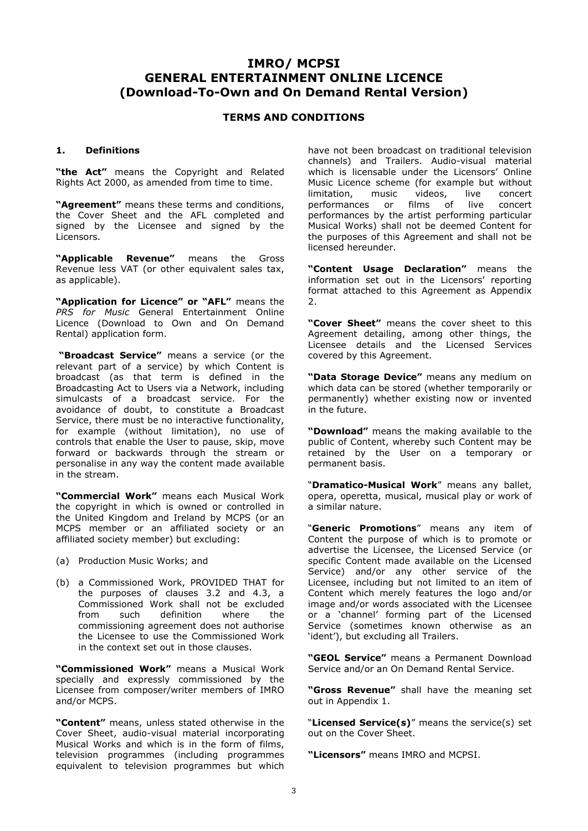### **IMRO/ MCPSI GENERAL ENTERTAINMENT ONLINE LICENCE (Download-To-Own and On Demand Rental Version)**

#### **TERMS AND CONDITIONS**

#### **1. Definitions**

**"the Act"** means the Copyright and Related Rights Act 2000, as amended from time to time.

**"Agreement"** means these terms and conditions, the Cover Sheet and the AFL completed and signed by the Licensee and signed by the Licensors.

**"Applicable Revenue"** means the Gross Revenue less VAT (or other equivalent sales tax, as applicable).

**"Application for Licence" or "AFL"** means the *PRS for Music* General Entertainment Online Licence (Download to Own and On Demand Rental) application form.

**"Broadcast Service"** means a service (or the relevant part of a service) by which Content is broadcast (as that term is defined in the Broadcasting Act to Users via a Network, including simulcasts of a broadcast service. For the avoidance of doubt, to constitute a Broadcast Service, there must be no interactive functionality, for example (without limitation), no use of controls that enable the User to pause, skip, move forward or backwards through the stream or personalise in any way the content made available in the stream.

**"Commercial Work"** means each Musical Work the copyright in which is owned or controlled in the United Kingdom and Ireland by MCPS (or an MCPS member or an affiliated society or an affiliated society member) but excluding:

- (a) Production Music Works; and
- (b) a Commissioned Work, PROVIDED THAT for the purposes of clauses 3.2 and 4.3, a Commissioned Work shall not be excluded from such definition where the commissioning agreement does not authorise the Licensee to use the Commissioned Work in the context set out in those clauses.

**"Commissioned Work"** means a Musical Work specially and expressly commissioned by the Licensee from composer/writer members of IMRO and/or MCPS.

**"Content"** means, unless stated otherwise in the Cover Sheet, audio-visual material incorporating Musical Works and which is in the form of films, television programmes (including programmes equivalent to television programmes but which

have not been broadcast on traditional television channels) and Trailers. Audio-visual material which is licensable under the Licensors' Online Music Licence scheme (for example but without limitation, music videos, live concert performances or films of live concert performances by the artist performing particular Musical Works) shall not be deemed Content for the purposes of this Agreement and shall not be licensed hereunder.

**"Content Usage Declaration"** means the information set out in the Licensors' reporting format attached to this Agreement as Appendix  $\mathcal{L}$ 

**"Cover Sheet"** means the cover sheet to this Agreement detailing, among other things, the Licensee details and the Licensed Services covered by this Agreement.

**"Data Storage Device"** means any medium on which data can be stored (whether temporarily or permanently) whether existing now or invented in the future.

**"Download"** means the making available to the public of Content, whereby such Content may be retained by the User on a temporary or permanent basis.

"**Dramatico-Musical Work**" means any ballet, opera, operetta, musical, musical play or work of a similar nature.

"**Generic Promotions**" means any item of Content the purpose of which is to promote or advertise the Licensee, the Licensed Service (or specific Content made available on the Licensed Service) and/or any other service of the Licensee, including but not limited to an item of Content which merely features the logo and/or image and/or words associated with the Licensee or a 'channel' forming part of the Licensed Service (sometimes known otherwise as an 'ident'), but excluding all Trailers.

**"GEOL Service"** means a Permanent Download Service and/or an On Demand Rental Service.

**"Gross Revenue"** shall have the meaning set out in Appendix 1.

"**Licensed Service(s)**" means the service(s) set out on the Cover Sheet.

**"Licensors"** means IMRO and MCPSI.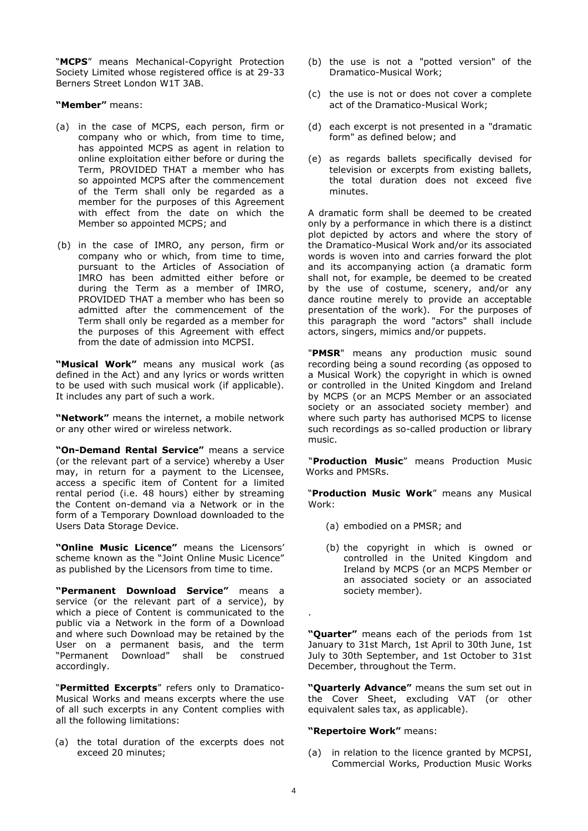"**MCPS**" means Mechanical-Copyright Protection Society Limited whose registered office is at 29-33 Berners Street London W1T 3AB.

**"Member"** means:

- (a) in the case of MCPS, each person, firm or company who or which, from time to time, has appointed MCPS as agent in relation to online exploitation either before or during the Term, PROVIDED THAT a member who has so appointed MCPS after the commencement of the Term shall only be regarded as a member for the purposes of this Agreement with effect from the date on which the Member so appointed MCPS; and
- (b) in the case of IMRO, any person, firm or company who or which, from time to time, pursuant to the Articles of Association of IMRO has been admitted either before or during the Term as a member of IMRO, PROVIDED THAT a member who has been so admitted after the commencement of the Term shall only be regarded as a member for the purposes of this Agreement with effect from the date of admission into MCPSI.

**"Musical Work"** means any musical work (as defined in the Act) and any lyrics or words written to be used with such musical work (if applicable). It includes any part of such a work.

**"Network"** means the internet, a mobile network or any other wired or wireless network.

**"On-Demand Rental Service"** means a service (or the relevant part of a service) whereby a User may, in return for a payment to the Licensee, access a specific item of Content for a limited rental period (i.e. 48 hours) either by streaming the Content on-demand via a Network or in the form of a Temporary Download downloaded to the Users Data Storage Device.

**"Online Music Licence"** means the Licensors' scheme known as the "Joint Online Music Licence" as published by the Licensors from time to time.

**"Permanent Download Service"** means a service (or the relevant part of a service), by which a piece of Content is communicated to the public via a Network in the form of a Download and where such Download may be retained by the User on a permanent basis, and the term "Permanent Download" shall be construed accordingly.

"**Permitted Excerpts**" refers only to Dramatico-Musical Works and means excerpts where the use of all such excerpts in any Content complies with all the following limitations:

(a) the total duration of the excerpts does not exceed 20 minutes;

- (b) the use is not a "potted version" of the Dramatico-Musical Work;
- (c) the use is not or does not cover a complete act of the Dramatico-Musical Work;
- (d) each excerpt is not presented in a "dramatic form" as defined below; and
- (e) as regards ballets specifically devised for television or excerpts from existing ballets, the total duration does not exceed five minutes.

A dramatic form shall be deemed to be created only by a performance in which there is a distinct plot depicted by actors and where the story of the Dramatico-Musical Work and/or its associated words is woven into and carries forward the plot and its accompanying action (a dramatic form shall not, for example, be deemed to be created by the use of costume, scenery, and/or any dance routine merely to provide an acceptable presentation of the work). For the purposes of this paragraph the word "actors" shall include actors, singers, mimics and/or puppets.

"**PMSR**" means any production music sound recording being a sound recording (as opposed to a Musical Work) the copyright in which is owned or controlled in the United Kingdom and Ireland by MCPS (or an MCPS Member or an associated society or an associated society member) and where such party has authorised MCPS to license such recordings as so-called production or library music.

"**Production Music**" means Production Music Works and PMSRs.

"**Production Music Work**" means any Musical Work:

- (a) embodied on a PMSR; and
- (b) the copyright in which is owned or controlled in the United Kingdom and Ireland by MCPS (or an MCPS Member or an associated society or an associated society member).

**"Quarter"** means each of the periods from 1st January to 31st March, 1st April to 30th June, 1st July to 30th September, and 1st October to 31st December, throughout the Term.

**"Quarterly Advance"** means the sum set out in the Cover Sheet, excluding VAT (or other equivalent sales tax, as applicable).

#### **"Repertoire Work"** means:

(a) in relation to the licence granted by MCPSI, Commercial Works, Production Music Works

.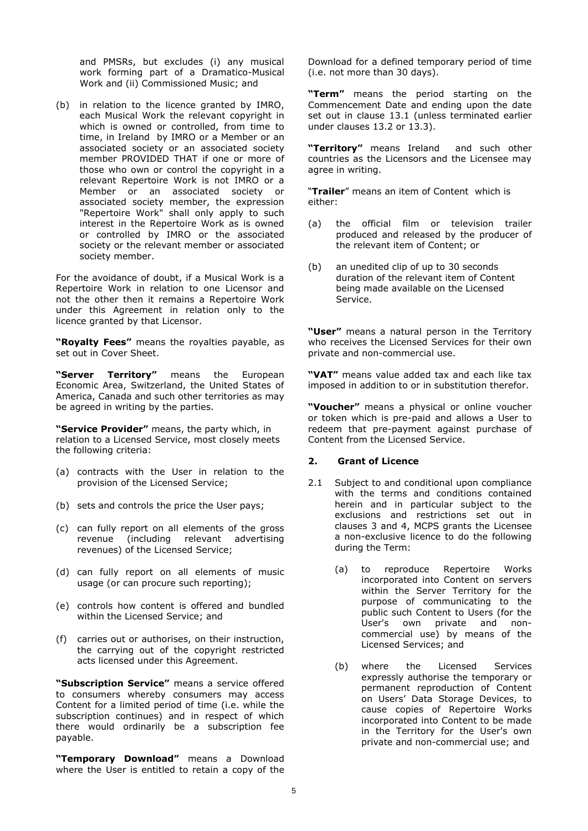and PMSRs, but excludes (i) any musical work forming part of a Dramatico-Musical Work and (ii) Commissioned Music; and

(b) in relation to the licence granted by IMRO, each Musical Work the relevant copyright in which is owned or controlled, from time to time, in Ireland by IMRO or a Member or an associated society or an associated society member PROVIDED THAT if one or more of those who own or control the copyright in a relevant Repertoire Work is not IMRO or a Member or an associated society or associated society member, the expression "Repertoire Work" shall only apply to such interest in the Repertoire Work as is owned or controlled by IMRO or the associated society or the relevant member or associated society member.

For the avoidance of doubt, if a Musical Work is a Repertoire Work in relation to one Licensor and not the other then it remains a Repertoire Work under this Agreement in relation only to the licence granted by that Licensor.

**"Royalty Fees"** means the royalties payable, as set out in Cover Sheet.

**"Server Territory"** means the European Economic Area, Switzerland, the United States of America, Canada and such other territories as may be agreed in writing by the parties.

**"Service Provider"** means, the party which, in relation to a Licensed Service, most closely meets the following criteria:

- (a) contracts with the User in relation to the provision of the Licensed Service;
- (b) sets and controls the price the User pays;
- (c) can fully report on all elements of the gross revenue (including relevant advertising revenues) of the Licensed Service;
- (d) can fully report on all elements of music usage (or can procure such reporting);
- (e) controls how content is offered and bundled within the Licensed Service; and
- (f) carries out or authorises, on their instruction, the carrying out of the copyright restricted acts licensed under this Agreement.

**"Subscription Service"** means a service offered to consumers whereby consumers may access Content for a limited period of time (i.e. while the subscription continues) and in respect of which there would ordinarily be a subscription fee payable.

**"Temporary Download"** means a Download where the User is entitled to retain a copy of the

Download for a defined temporary period of time (i.e. not more than 30 days).

**"Term"** means the period starting on the Commencement Date and ending upon the date set out in clause 13.1 (unless terminated earlier under clauses  $13.2$  or  $13.3$ ).

**"Territory"** means Ireland and such other countries as the Licensors and the Licensee may agree in writing.

"**Trailer**" means an item of Content which is either:

- (a) the official film or television trailer produced and released by the producer of the relevant item of Content; or
- (b) an unedited clip of up to 30 seconds duration of the relevant item of Content being made available on the Licensed Service.

**"User"** means a natural person in the Territory who receives the Licensed Services for their own private and non-commercial use.

**"VAT"** means value added tax and each like tax imposed in addition to or in substitution therefor.

**"Voucher"** means a physical or online voucher or token which is pre-paid and allows a User to redeem that pre-payment against purchase of Content from the Licensed Service.

#### **2. Grant of Licence**

- 2.1 Subject to and conditional upon compliance with the terms and conditions contained herein and in particular subject to the exclusions and restrictions set out in clauses 3 and 4, MCPS grants the Licensee a non-exclusive licence to do the following during the Term:
	- (a) to reproduce Repertoire Works incorporated into Content on servers within the Server Territory for the purpose of communicating to the public such Content to Users (for the User's own private and noncommercial use) by means of the Licensed Services; and
	- (b) where the Licensed Services expressly authorise the temporary or permanent reproduction of Content on Users' Data Storage Devices, to cause copies of Repertoire Works incorporated into Content to be made in the Territory for the User's own private and non-commercial use; and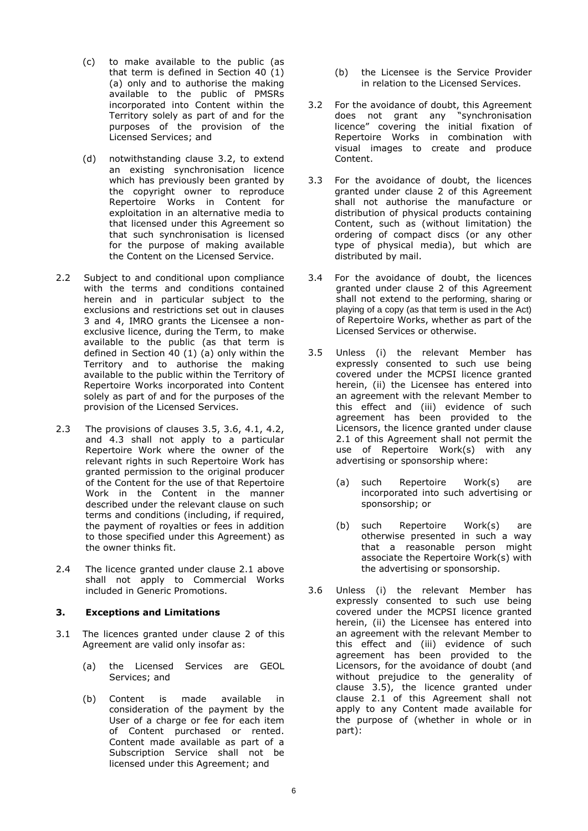- (c) to make available to the public (as that term is defined in Section 40 (1) (a) only and to authorise the making available to the public of PMSRs incorporated into Content within the Territory solely as part of and for the purposes of the provision of the Licensed Services; and
- (d) notwithstanding clause 3.2, to extend an existing synchronisation licence which has previously been granted by the copyright owner to reproduce Repertoire Works in Content for exploitation in an alternative media to that licensed under this Agreement so that such synchronisation is licensed for the purpose of making available the Content on the Licensed Service.
- 2.2 Subject to and conditional upon compliance with the terms and conditions contained herein and in particular subject to the exclusions and restrictions set out in clauses 3 and 4, IMRO grants the Licensee a nonexclusive licence, during the Term, to make available to the public (as that term is defined in Section 40 (1) (a) only within the Territory and to authorise the making available to the public within the Territory of Repertoire Works incorporated into Content solely as part of and for the purposes of the provision of the Licensed Services.
- 2.3 The provisions of clauses 3.5, 3.6, 4.1, 4.2, and 4.3 shall not apply to a particular Repertoire Work where the owner of the relevant rights in such Repertoire Work has granted permission to the original producer of the Content for the use of that Repertoire Work in the Content in the manner described under the relevant clause on such terms and conditions (including, if required, the payment of royalties or fees in addition to those specified under this Agreement) as the owner thinks fit.
- 2.4 The licence granted under clause 2.1 above shall not apply to Commercial Works included in Generic Promotions.

#### **3. Exceptions and Limitations**

- 3.1 The licences granted under clause 2 of this Agreement are valid only insofar as:
	- (a) the Licensed Services are GEOL Services; and
	- (b) Content is made available in consideration of the payment by the User of a charge or fee for each item of Content purchased or rented. Content made available as part of a Subscription Service shall not be licensed under this Agreement; and
- (b) the Licensee is the Service Provider in relation to the Licensed Services.
- 3.2 For the avoidance of doubt, this Agreement does not grant any "synchronisation licence" covering the initial fixation of Repertoire Works in combination with visual images to create and produce Content.
- 3.3 For the avoidance of doubt, the licences granted under clause 2 of this Agreement shall not authorise the manufacture or distribution of physical products containing Content, such as (without limitation) the ordering of compact discs (or any other type of physical media), but which are distributed by mail.
- 3.4 For the avoidance of doubt, the licences granted under clause 2 of this Agreement shall not extend to the performing, sharing or playing of a copy (as that term is used in the Act) of Repertoire Works, whether as part of the Licensed Services or otherwise.
- 3.5 Unless (i) the relevant Member has expressly consented to such use being covered under the MCPSI licence granted herein, (ii) the Licensee has entered into an agreement with the relevant Member to this effect and (iii) evidence of such agreement has been provided to the Licensors, the licence granted under clause 2.1 of this Agreement shall not permit the use of Repertoire Work(s) with any advertising or sponsorship where:
	- (a) such Repertoire Work(s) are incorporated into such advertising or sponsorship; or
	- (b) such Repertoire Work(s) are otherwise presented in such a way that a reasonable person might associate the Repertoire Work(s) with the advertising or sponsorship.
- 3.6 Unless (i) the relevant Member has expressly consented to such use being covered under the MCPSI licence granted herein, (ii) the Licensee has entered into an agreement with the relevant Member to this effect and (iii) evidence of such agreement has been provided to the Licensors, for the avoidance of doubt (and without prejudice to the generality of clause 3.5), the licence granted under clause 2.1 of this Agreement shall not apply to any Content made available for the purpose of (whether in whole or in part):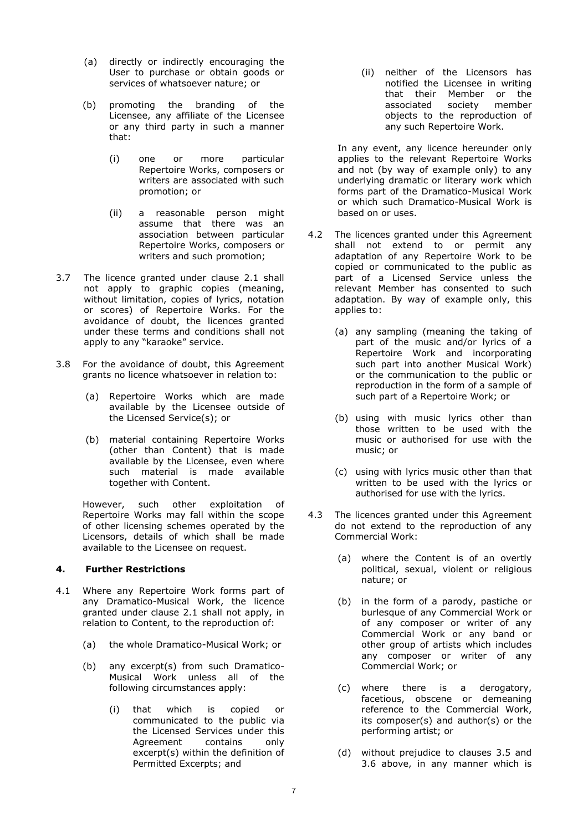- (a) directly or indirectly encouraging the User to purchase or obtain goods or services of whatsoever nature; or
- (b) promoting the branding of the Licensee, any affiliate of the Licensee or any third party in such a manner that:
	- (i) one or more particular Repertoire Works, composers or writers are associated with such promotion; or
	- (ii) a reasonable person might assume that there was an association between particular Repertoire Works, composers or writers and such promotion;
- 3.7 The licence granted under clause 2.1 shall not apply to graphic copies (meaning, without limitation, copies of lyrics, notation or scores) of Repertoire Works. For the avoidance of doubt, the licences granted under these terms and conditions shall not apply to any "karaoke" service.
- 3.8 For the avoidance of doubt, this Agreement grants no licence whatsoever in relation to:
	- (a) Repertoire Works which are made available by the Licensee outside of the Licensed Service(s); or
	- (b) material containing Repertoire Works (other than Content) that is made available by the Licensee, even where such material is made available together with Content.

However, such other exploitation of Repertoire Works may fall within the scope of other licensing schemes operated by the Licensors, details of which shall be made available to the Licensee on request.

#### **4. Further Restrictions**

- 4.1 Where any Repertoire Work forms part of any Dramatico-Musical Work, the licence granted under clause 2.1 shall not apply, in relation to Content, to the reproduction of:
	- (a) the whole Dramatico-Musical Work; or
	- (b) any excerpt(s) from such Dramatico-Musical Work unless all of the following circumstances apply:
		- (i) that which is copied or communicated to the public via the Licensed Services under this Agreement contains only excerpt(s) within the definition of Permitted Excerpts; and

(ii) neither of the Licensors has notified the Licensee in writing that their Member or the associated society member objects to the reproduction of any such Repertoire Work.

In any event, any licence hereunder only applies to the relevant Repertoire Works and not (by way of example only) to any underlying dramatic or literary work which forms part of the Dramatico-Musical Work or which such Dramatico-Musical Work is based on or uses.

- 4.2 The licences granted under this Agreement shall not extend to or permit any adaptation of any Repertoire Work to be copied or communicated to the public as part of a Licensed Service unless the relevant Member has consented to such adaptation. By way of example only, this applies to:
	- (a) any sampling (meaning the taking of part of the music and/or lyrics of a Repertoire Work and incorporating such part into another Musical Work) or the communication to the public or reproduction in the form of a sample of such part of a Repertoire Work; or
	- (b) using with music lyrics other than those written to be used with the music or authorised for use with the music; or
	- (c) using with lyrics music other than that written to be used with the lyrics or authorised for use with the lyrics.
- 4.3 The licences granted under this Agreement do not extend to the reproduction of any Commercial Work:
	- (a) where the Content is of an overtly political, sexual, violent or religious nature; or
	- (b) in the form of a parody, pastiche or burlesque of any Commercial Work or of any composer or writer of any Commercial Work or any band or other group of artists which includes any composer or writer of any Commercial Work; or
	- (c) where there is a derogatory, facetious, obscene or demeaning reference to the Commercial Work, its composer(s) and author(s) or the performing artist; or
	- (d) without prejudice to clauses 3.5 and 3.6 above, in any manner which is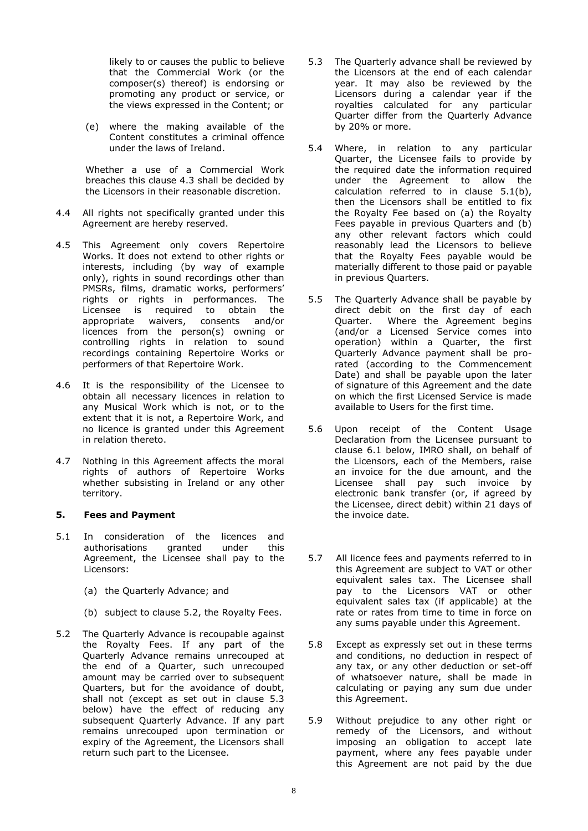likely to or causes the public to believe that the Commercial Work (or the composer(s) thereof) is endorsing or promoting any product or service, or the views expressed in the Content; or

(e) where the making available of the Content constitutes a criminal offence under the laws of Ireland.

Whether a use of a Commercial Work breaches this clause 4.3 shall be decided by the Licensors in their reasonable discretion.

- 4.4 All rights not specifically granted under this Agreement are hereby reserved.
- 4.5 This Agreement only covers Repertoire Works. It does not extend to other rights or interests, including (by way of example only), rights in sound recordings other than PMSRs, films, dramatic works, performers' rights or rights in performances. The Licensee is required to obtain the appropriate waivers, consents and/or licences from the person(s) owning or controlling rights in relation to sound recordings containing Repertoire Works or performers of that Repertoire Work.
- 4.6 It is the responsibility of the Licensee to obtain all necessary licences in relation to any Musical Work which is not, or to the extent that it is not, a Repertoire Work, and no licence is granted under this Agreement in relation thereto.
- 4.7 Nothing in this Agreement affects the moral rights of authors of Repertoire Works whether subsisting in Ireland or any other territory.

#### **5. Fees and Payment**

- 5.1 In consideration of the licences and authorisations granted under this Agreement, the Licensee shall pay to the Licensors:
	- (a) the Quarterly Advance; and
	- (b) subject to clause 5.2, the Royalty Fees.
- 5.2 The Quarterly Advance is recoupable against the Royalty Fees. If any part of the Quarterly Advance remains unrecouped at the end of a Quarter, such unrecouped amount may be carried over to subsequent Quarters, but for the avoidance of doubt, shall not (except as set out in clause 5.3 below) have the effect of reducing any subsequent Quarterly Advance. If any part remains unrecouped upon termination or expiry of the Agreement, the Licensors shall return such part to the Licensee.
- 5.3 The Quarterly advance shall be reviewed by the Licensors at the end of each calendar year. It may also be reviewed by the Licensors during a calendar year if the royalties calculated for any particular Quarter differ from the Quarterly Advance by 20% or more.
- 5.4 Where, in relation to any particular Quarter, the Licensee fails to provide by the required date the information required under the Agreement to allow the calculation referred to in clause 5.1(b), then the Licensors shall be entitled to fix the Royalty Fee based on (a) the Royalty Fees payable in previous Quarters and (b) any other relevant factors which could reasonably lead the Licensors to believe that the Royalty Fees payable would be materially different to those paid or payable in previous Quarters.
- 5.5 The Quarterly Advance shall be payable by direct debit on the first day of each Quarter. Where the Agreement begins (and/or a Licensed Service comes into operation) within a Quarter, the first Quarterly Advance payment shall be prorated (according to the Commencement Date) and shall be payable upon the later of signature of this Agreement and the date on which the first Licensed Service is made available to Users for the first time.
- 5.6 Upon receipt of the Content Usage Declaration from the Licensee pursuant to clause 6.1 below, IMRO shall, on behalf of the Licensors, each of the Members, raise an invoice for the due amount, and the Licensee shall pay such invoice by electronic bank transfer (or, if agreed by the Licensee, direct debit) within 21 days of the invoice date.
- 5.7 All licence fees and payments referred to in this Agreement are subject to VAT or other equivalent sales tax. The Licensee shall pay to the Licensors VAT or other equivalent sales tax (if applicable) at the rate or rates from time to time in force on any sums payable under this Agreement.
- 5.8 Except as expressly set out in these terms and conditions, no deduction in respect of any tax, or any other deduction or set-off of whatsoever nature, shall be made in calculating or paying any sum due under this Agreement.
- 5.9 Without prejudice to any other right or remedy of the Licensors, and without imposing an obligation to accept late payment, where any fees payable under this Agreement are not paid by the due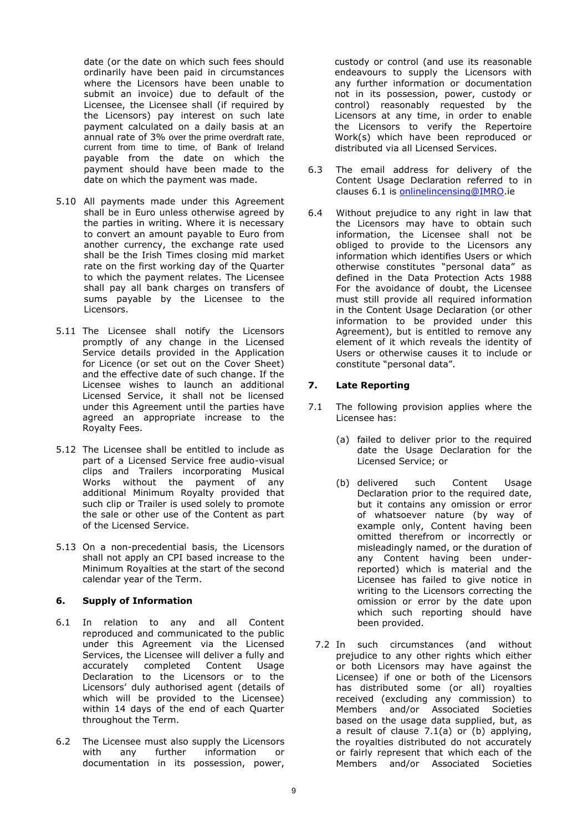date (or the date on which such fees should ordinarily have been paid in circumstances where the Licensors have been unable to submit an invoice) due to default of the Licensee, the Licensee shall (if required by the Licensors) pay interest on such late payment calculated on a daily basis at an annual rate of 3% over the prime overdraft rate, current from time to time, of Bank of Ireland payable from the date on which the payment should have been made to the date on which the payment was made.

- 5.10 All payments made under this Agreement shall be in Euro unless otherwise agreed by the parties in writing. Where it is necessary to convert an amount payable to Euro from another currency, the exchange rate used shall be the Irish Times closing mid market rate on the first working day of the Quarter to which the payment relates. The Licensee shall pay all bank charges on transfers of sums payable by the Licensee to the Licensors.
- 5.11 The Licensee shall notify the Licensors promptly of any change in the Licensed Service details provided in the Application for Licence (or set out on the Cover Sheet) and the effective date of such change. If the Licensee wishes to launch an additional Licensed Service, it shall not be licensed under this Agreement until the parties have agreed an appropriate increase to the Royalty Fees.
- 5.12 The Licensee shall be entitled to include as part of a Licensed Service free audio-visual clips and Trailers incorporating Musical Works without the payment of any additional Minimum Royalty provided that such clip or Trailer is used solely to promote the sale or other use of the Content as part of the Licensed Service.
- 5.13 On a non-precedential basis, the Licensors shall not apply an CPI based increase to the Minimum Royalties at the start of the second calendar year of the Term.

#### **6. Supply of Information**

- 6.1 In relation to any and all Content reproduced and communicated to the public under this Agreement via the Licensed Services, the Licensee will deliver a fully and accurately completed Content Usage Declaration to the Licensors or to the Licensors' duly authorised agent (details of which will be provided to the Licensee) within 14 days of the end of each Quarter throughout the Term.
- 6.2 The Licensee must also supply the Licensors with any further information or documentation in its possession, power,

custody or control (and use its reasonable endeavours to supply the Licensors with any further information or documentation not in its possession, power, custody or control) reasonably requested by the Licensors at any time, in order to enable the Licensors to verify the Repertoire Work(s) which have been reproduced or distributed via all Licensed Services.

- 6.3 The email address for delivery of the Content Usage Declaration referred to in clauses 6.1 is [onlinelincensing@IMRO.](mailto:onlinelincensing@IMRO)ie
- 6.4 Without prejudice to any right in law that the Licensors may have to obtain such information, the Licensee shall not be obliged to provide to the Licensors any information which identifies Users or which otherwise constitutes "personal data" as defined in the Data Protection Acts 1988 For the avoidance of doubt, the Licensee must still provide all required information in the Content Usage Declaration (or other information to be provided under this Agreement), but is entitled to remove any element of it which reveals the identity of Users or otherwise causes it to include or constitute "personal data".

#### **7. Late Reporting**

- 7.1 The following provision applies where the Licensee has:
	- (a) failed to deliver prior to the required date the Usage Declaration for the Licensed Service; or
	- (b) delivered such Content Usage Declaration prior to the required date, but it contains any omission or error of whatsoever nature (by way of example only, Content having been omitted therefrom or incorrectly or misleadingly named, or the duration of any Content having been underreported) which is material and the Licensee has failed to give notice in writing to the Licensors correcting the omission or error by the date upon which such reporting should have been provided.
	- 7.2 In such circumstances (and without prejudice to any other rights which either or both Licensors may have against the Licensee) if one or both of the Licensors has distributed some (or all) royalties received (excluding any commission) to Members and/or Associated Societies based on the usage data supplied, but, as a result of clause 7.1(a) or (b) applying, the royalties distributed do not accurately or fairly represent that which each of the Members and/or Associated Societies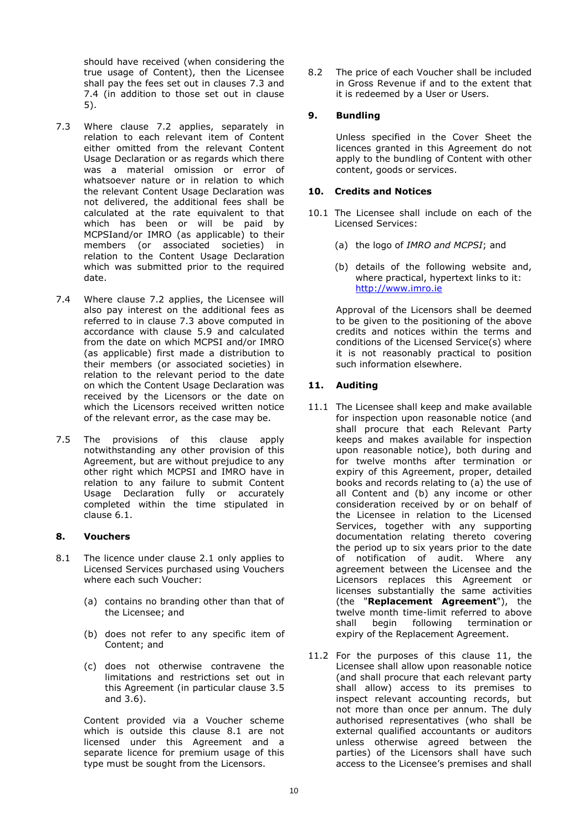should have received (when considering the true usage of Content), then the Licensee shall pay the fees set out in clauses 7.3 and 7.4 (in addition to those set out in clause 5).

- 7.3 Where clause 7.2 applies, separately in relation to each relevant item of Content either omitted from the relevant Content Usage Declaration or as regards which there was a material omission or error of whatsoever nature or in relation to which the relevant Content Usage Declaration was not delivered, the additional fees shall be calculated at the rate equivalent to that which has been or will be paid by MCPSIand/or IMRO (as applicable) to their members (or associated societies) in relation to the Content Usage Declaration which was submitted prior to the required date.
- 7.4 Where clause 7.2 applies, the Licensee will also pay interest on the additional fees as referred to in clause 7.3 above computed in accordance with clause 5.9 and calculated from the date on which MCPSI and/or IMRO (as applicable) first made a distribution to their members (or associated societies) in relation to the relevant period to the date on which the Content Usage Declaration was received by the Licensors or the date on which the Licensors received written notice of the relevant error, as the case may be.
- 7.5 The provisions of this clause apply notwithstanding any other provision of this Agreement, but are without prejudice to any other right which MCPSI and IMRO have in relation to any failure to submit Content Usage Declaration fully or accurately completed within the time stipulated in clause 6.1.

#### **8. Vouchers**

- 8.1 The licence under clause 2.1 only applies to Licensed Services purchased using Vouchers where each such Voucher:
	- (a) contains no branding other than that of the Licensee; and
	- (b) does not refer to any specific item of Content; and
	- (c) does not otherwise contravene the limitations and restrictions set out in this Agreement (in particular clause 3.5 and 3.6).

Content provided via a Voucher scheme which is outside this clause 8.1 are not licensed under this Agreement and a separate licence for premium usage of this type must be sought from the Licensors.

8.2 The price of each Voucher shall be included in Gross Revenue if and to the extent that it is redeemed by a User or Users.

#### **9. Bundling**

Unless specified in the Cover Sheet the licences granted in this Agreement do not apply to the bundling of Content with other content, goods or services.

#### **10. Credits and Notices**

- 10.1 The Licensee shall include on each of the Licensed Services:
	- (a) the logo of *IMRO and MCPSI*; and
	- (b) details of the following website and, where practical, hypertext links to it: [http://www.imro.ie](http://www.imro.ie/)

Approval of the Licensors shall be deemed to be given to the positioning of the above credits and notices within the terms and conditions of the Licensed Service(s) where it is not reasonably practical to position such information elsewhere.

#### **11. Auditing**

- 11.1 The Licensee shall keep and make available for inspection upon reasonable notice (and shall procure that each Relevant Party keeps and makes available for inspection upon reasonable notice), both during and for twelve months after termination or expiry of this Agreement, proper, detailed books and records relating to (a) the use of all Content and (b) any income or other consideration received by or on behalf of the Licensee in relation to the Licensed Services, together with any supporting documentation relating thereto covering the period up to six years prior to the date of notification of audit. Where any agreement between the Licensee and the Licensors replaces this Agreement or licenses substantially the same activities (the "**Replacement Agreement**"), the twelve month time-limit referred to above shall begin following termination or expiry of the Replacement Agreement.
- 11.2 For the purposes of this clause 11, the Licensee shall allow upon reasonable notice (and shall procure that each relevant party shall allow) access to its premises to inspect relevant accounting records, but not more than once per annum. The duly authorised representatives (who shall be external qualified accountants or auditors unless otherwise agreed between the parties) of the Licensors shall have such access to the Licensee's premises and shall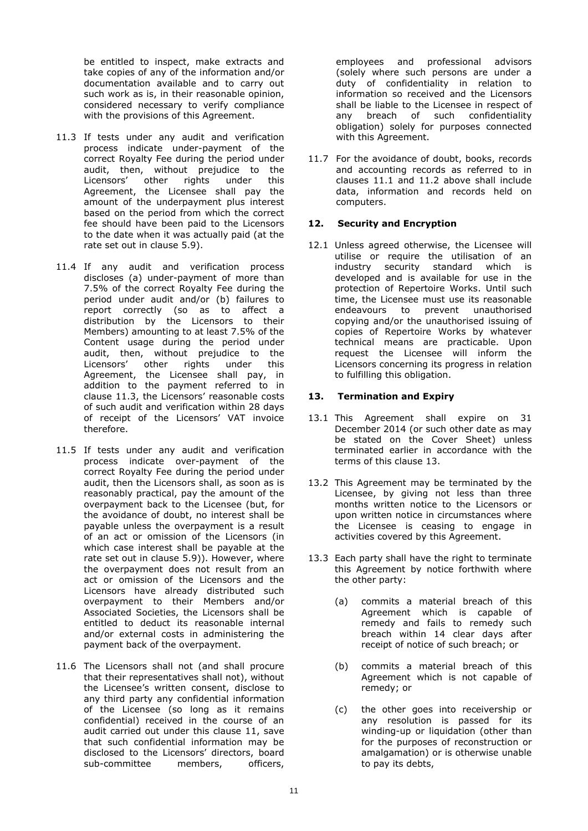be entitled to inspect, make extracts and take copies of any of the information and/or documentation available and to carry out such work as is, in their reasonable opinion, considered necessary to verify compliance with the provisions of this Agreement.

- 11.3 If tests under any audit and verification process indicate under-payment of the correct Royalty Fee during the period under audit, then, without prejudice to the Licensors' other rights under this Agreement, the Licensee shall pay the amount of the underpayment plus interest based on the period from which the correct fee should have been paid to the Licensors to the date when it was actually paid (at the rate set out in clause 5.9).
- 11.4 If any audit and verification process discloses (a) under-payment of more than 7.5% of the correct Royalty Fee during the period under audit and/or (b) failures to report correctly (so as to affect a distribution by the Licensors to their Members) amounting to at least 7.5% of the Content usage during the period under audit, then, without prejudice to the Licensors' other rights under this Agreement, the Licensee shall pay, in addition to the payment referred to in clause 11.3, the Licensors' reasonable costs of such audit and verification within 28 days of receipt of the Licensors' VAT invoice therefore.
- 11.5 If tests under any audit and verification process indicate over-payment of the correct Royalty Fee during the period under audit, then the Licensors shall, as soon as is reasonably practical, pay the amount of the overpayment back to the Licensee (but, for the avoidance of doubt, no interest shall be payable unless the overpayment is a result of an act or omission of the Licensors (in which case interest shall be payable at the rate set out in clause 5.9)). However, where the overpayment does not result from an act or omission of the Licensors and the Licensors have already distributed such overpayment to their Members and/or Associated Societies, the Licensors shall be entitled to deduct its reasonable internal and/or external costs in administering the payment back of the overpayment.
- 11.6 The Licensors shall not (and shall procure that their representatives shall not), without the Licensee's written consent, disclose to any third party any confidential information of the Licensee (so long as it remains confidential) received in the course of an audit carried out under this clause 11, save that such confidential information may be disclosed to the Licensors' directors, board sub-committee members, officers,

employees and professional advisors (solely where such persons are under a duty of confidentiality in relation to information so received and the Licensors shall be liable to the Licensee in respect of any breach of such confidentiality obligation) solely for purposes connected with this Agreement.

11.7 For the avoidance of doubt, books, records and accounting records as referred to in clauses 11.1 and 11.2 above shall include data, information and records held on computers.

#### **12. Security and Encryption**

12.1 Unless agreed otherwise, the Licensee will utilise or require the utilisation of an industry security standard which is developed and is available for use in the protection of Repertoire Works. Until such time, the Licensee must use its reasonable endeavours to prevent unauthorised copying and/or the unauthorised issuing of copies of Repertoire Works by whatever technical means are practicable. Upon request the Licensee will inform the Licensors concerning its progress in relation to fulfilling this obligation.

#### **13. Termination and Expiry**

- 13.1 This Agreement shall expire on 31 December 2014 (or such other date as may be stated on the Cover Sheet) unless terminated earlier in accordance with the terms of this clause 13.
- 13.2 This Agreement may be terminated by the Licensee, by giving not less than three months written notice to the Licensors or upon written notice in circumstances where the Licensee is ceasing to engage in activities covered by this Agreement.
- 13.3 Each party shall have the right to terminate this Agreement by notice forthwith where the other party:
	- (a) commits a material breach of this Agreement which is capable of remedy and fails to remedy such breach within 14 clear days after receipt of notice of such breach; or
	- (b) commits a material breach of this Agreement which is not capable of remedy; or
	- (c) the other goes into receivership or any resolution is passed for its winding-up or liquidation (other than for the purposes of reconstruction or amalgamation) or is otherwise unable to pay its debts,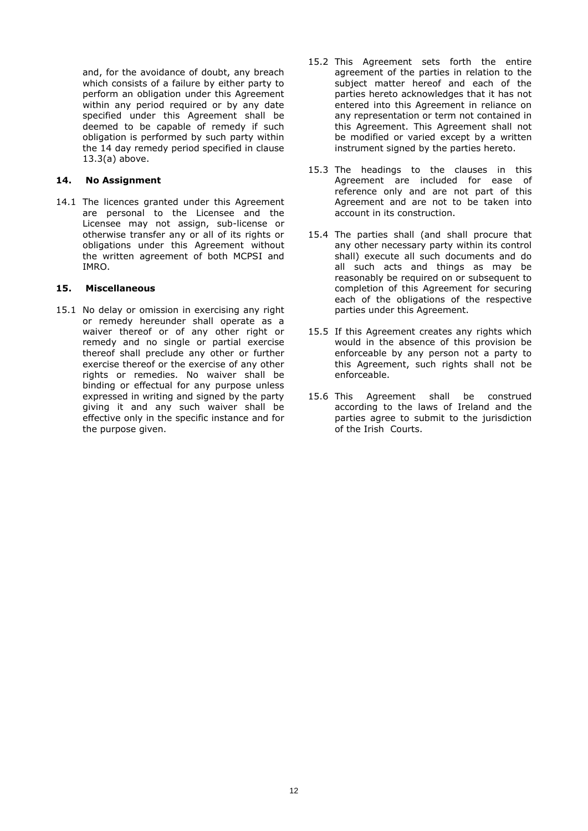and, for the avoidance of doubt, any breach which consists of a failure by either party to perform an obligation under this Agreement within any period required or by any date specified under this Agreement shall be deemed to be capable of remedy if such obligation is performed by such party within the 14 day remedy period specified in clause 13.3(a) above.

#### **14. No Assignment**

14.1 The licences granted under this Agreement are personal to the Licensee and the Licensee may not assign, sub-license or otherwise transfer any or all of its rights or obligations under this Agreement without the written agreement of both MCPSI and IMRO.

#### **15. Miscellaneous**

15.1 No delay or omission in exercising any right or remedy hereunder shall operate as a waiver thereof or of any other right or remedy and no single or partial exercise thereof shall preclude any other or further exercise thereof or the exercise of any other rights or remedies. No waiver shall be binding or effectual for any purpose unless expressed in writing and signed by the party giving it and any such waiver shall be effective only in the specific instance and for the purpose given.

- 15.2 This Agreement sets forth the entire agreement of the parties in relation to the subject matter hereof and each of the parties hereto acknowledges that it has not entered into this Agreement in reliance on any representation or term not contained in this Agreement. This Agreement shall not be modified or varied except by a written instrument signed by the parties hereto.
- 15.3 The headings to the clauses in this Agreement are included for ease of reference only and are not part of this Agreement and are not to be taken into account in its construction.
- 15.4 The parties shall (and shall procure that any other necessary party within its control shall) execute all such documents and do all such acts and things as may be reasonably be required on or subsequent to completion of this Agreement for securing each of the obligations of the respective parties under this Agreement.
- 15.5 If this Agreement creates any rights which would in the absence of this provision be enforceable by any person not a party to this Agreement, such rights shall not be enforceable.
- 15.6 This Agreement shall be construed according to the laws of Ireland and the parties agree to submit to the jurisdiction of the Irish Courts.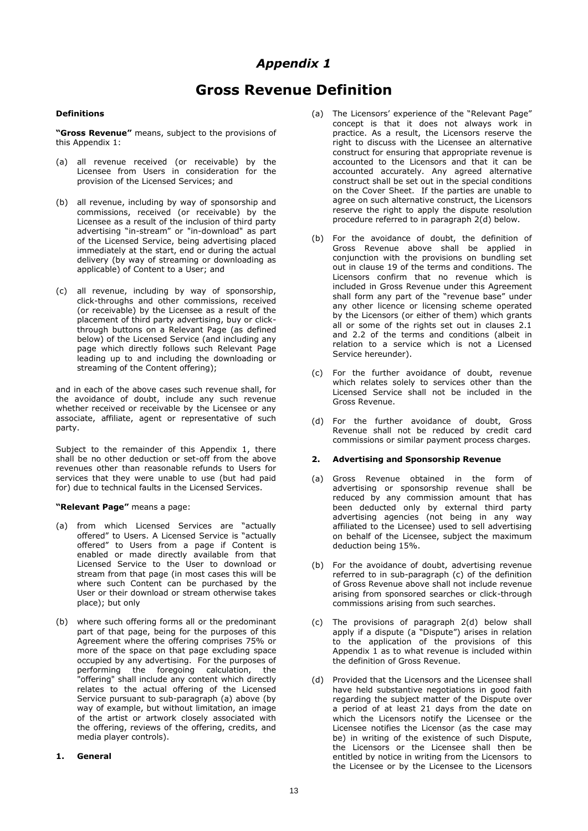## *Appendix 1*

## **Gross Revenue Definition**

#### **Definitions**

**"Gross Revenue"** means, subject to the provisions of this Appendix 1:

- (a) all revenue received (or receivable) by the Licensee from Users in consideration for the provision of the Licensed Services; and
- (b) all revenue, including by way of sponsorship and commissions, received (or receivable) by the Licensee as a result of the inclusion of third party advertising "in-stream" or "in-download" as part of the Licensed Service, being advertising placed immediately at the start, end or during the actual delivery (by way of streaming or downloading as applicable) of Content to a User; and
- (c) all revenue, including by way of sponsorship, click-throughs and other commissions, received (or receivable) by the Licensee as a result of the placement of third party advertising, buy or clickthrough buttons on a Relevant Page (as defined below) of the Licensed Service (and including any page which directly follows such Relevant Page leading up to and including the downloading or streaming of the Content offering);

and in each of the above cases such revenue shall, for the avoidance of doubt, include any such revenue whether received or receivable by the Licensee or any associate, affiliate, agent or representative of such party.

Subject to the remainder of this Appendix 1, there shall be no other deduction or set-off from the above revenues other than reasonable refunds to Users for services that they were unable to use (but had paid for) due to technical faults in the Licensed Services.

#### **"Relevant Page"** means a page:

- (a) from which Licensed Services are "actually offered" to Users. A Licensed Service is "actually offered" to Users from a page if Content is enabled or made directly available from that Licensed Service to the User to download or stream from that page (in most cases this will be where such Content can be purchased by the User or their download or stream otherwise takes place); but only
- (b) where such offering forms all or the predominant part of that page, being for the purposes of this Agreement where the offering comprises 75% or more of the space on that page excluding space occupied by any advertising. For the purposes of performing the foregoing calculation, the "offering" shall include any content which directly relates to the actual offering of the Licensed Service pursuant to sub-paragraph (a) above (by way of example, but without limitation, an image of the artist or artwork closely associated with the offering, reviews of the offering, credits, and media player controls).

#### **1. General**

- (a) The Licensors' experience of the "Relevant Page" concept is that it does not always work in practice. As a result, the Licensors reserve the right to discuss with the Licensee an alternative construct for ensuring that appropriate revenue is accounted to the Licensors and that it can be accounted accurately. Any agreed alternative construct shall be set out in the special conditions on the Cover Sheet. If the parties are unable to agree on such alternative construct, the Licensors reserve the right to apply the dispute resolution procedure referred to in paragraph 2(d) below.
- (b) For the avoidance of doubt, the definition of Gross Revenue above shall be applied in conjunction with the provisions on bundling set out in clause 19 of the terms and conditions. The Licensors confirm that no revenue which is included in Gross Revenue under this Agreement shall form any part of the "revenue base" under any other licence or licensing scheme operated by the Licensors (or either of them) which grants all or some of the rights set out in clauses 2.1 and 2.2 of the terms and conditions (albeit in relation to a service which is not a Licensed Service hereunder).
- (c) For the further avoidance of doubt, revenue which relates solely to services other than the Licensed Service shall not be included in the Gross Revenue.
- (d) For the further avoidance of doubt, Gross Revenue shall not be reduced by credit card commissions or similar payment process charges.

#### **2. Advertising and Sponsorship Revenue**

- (a) Gross Revenue obtained in the form of advertising or sponsorship revenue shall be reduced by any commission amount that has been deducted only by external third party advertising agencies (not being in any way affiliated to the Licensee) used to sell advertising on behalf of the Licensee, subject the maximum deduction being 15%.
- (b) For the avoidance of doubt, advertising revenue referred to in sub-paragraph (c) of the definition of Gross Revenue above shall not include revenue arising from sponsored searches or click-through commissions arising from such searches.
- (c) The provisions of paragraph 2(d) below shall apply if a dispute (a "Dispute") arises in relation to the application of the provisions of this Appendix 1 as to what revenue is included within the definition of Gross Revenue.
- (d) Provided that the Licensors and the Licensee shall have held substantive negotiations in good faith regarding the subject matter of the Dispute over a period of at least 21 days from the date on which the Licensors notify the Licensee or the Licensee notifies the Licensor (as the case may be) in writing of the existence of such Dispute, the Licensors or the Licensee shall then be entitled by notice in writing from the Licensors to the Licensee or by the Licensee to the Licensors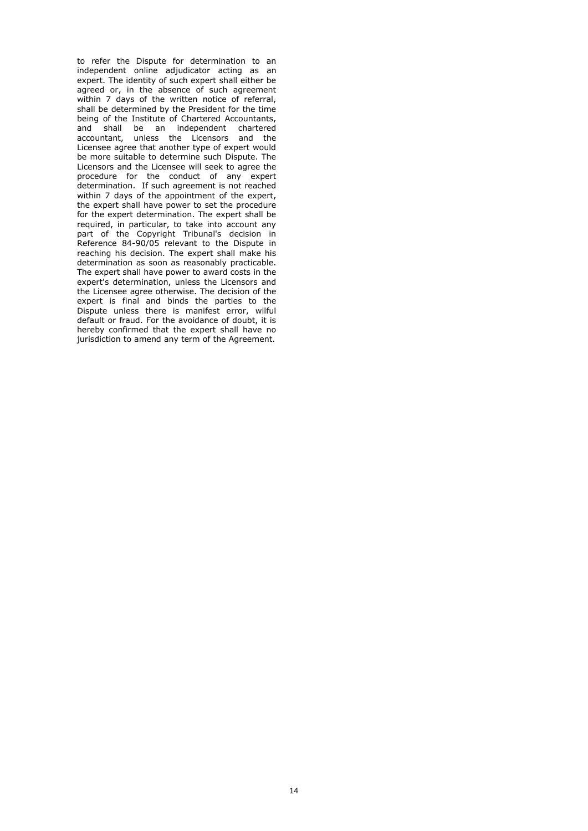to refer the Dispute for determination to an independent online adjudicator acting as an expert. The identity of such expert shall either be agreed or, in the absence of such agreement within 7 days of the written notice of referral, shall be determined by the President for the time being of the Institute of Chartered Accountants, and shall be an independent chartered accountant, unless the Licensors and the Licensee agree that another type of expert would be more suitable to determine such Dispute. The Licensors and the Licensee will seek to agree the procedure for the conduct of any expert determination. If such agreement is not reached within 7 days of the appointment of the expert, the expert shall have power to set the procedure for the expert determination. The expert shall be required, in particular, to take into account any part of the Copyright Tribunal's decision in Reference 84-90/05 relevant to the Dispute in reaching his decision. The expert shall make his determination as soon as reasonably practicable. The expert shall have power to award costs in the expert's determination, unless the Licensors and the Licensee agree otherwise. The decision of the expert is final and binds the parties to the Dispute unless there is manifest error, wilful default or fraud. For the avoidance of doubt, it is hereby confirmed that the expert shall have no jurisdiction to amend any term of the Agreement.